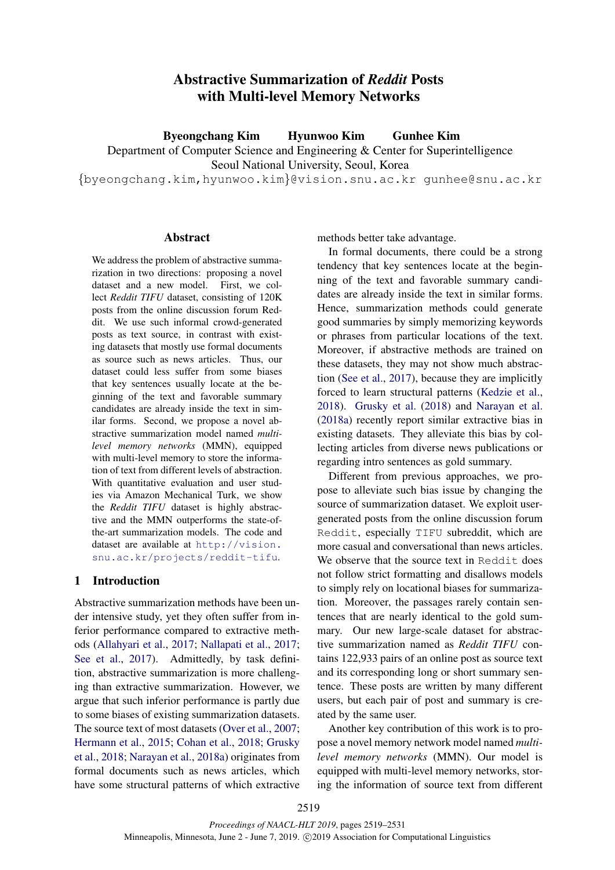# Abstractive Summarization of *Reddit* Posts with Multi-level Memory Networks

Byeongchang Kim Hyunwoo Kim Gunhee Kim

Department of Computer Science and Engineering & Center for Superintelligence

Seoul National University, Seoul, Korea

{byeongchang.kim,hyunwoo.kim}@vision.snu.ac.kr gunhee@snu.ac.kr

## Abstract

We address the problem of abstractive summarization in two directions: proposing a novel dataset and a new model. First, we collect *Reddit TIFU* dataset, consisting of 120K posts from the online discussion forum Reddit. We use such informal crowd-generated posts as text source, in contrast with existing datasets that mostly use formal documents as source such as news articles. Thus, our dataset could less suffer from some biases that key sentences usually locate at the beginning of the text and favorable summary candidates are already inside the text in similar forms. Second, we propose a novel abstractive summarization model named *multilevel memory networks* (MMN), equipped with multi-level memory to store the information of text from different levels of abstraction. With quantitative evaluation and user studies via Amazon Mechanical Turk, we show the *Reddit TIFU* dataset is highly abstractive and the MMN outperforms the state-ofthe-art summarization models. The code and dataset are available at http://vision. snu.ac.kr/projects/reddit-tifu.

## 1 Introduction

Abstractive summarization methods have been under intensive study, yet they often suffer from inferior performance compared to extractive methods (Allahyari et al., 2017; Nallapati et al., 2017; See et al., 2017). Admittedly, by task definition, abstractive summarization is more challenging than extractive summarization. However, we argue that such inferior performance is partly due to some biases of existing summarization datasets. The source text of most datasets (Over et al., 2007; Hermann et al., 2015; Cohan et al., 2018; Grusky et al., 2018; Narayan et al., 2018a) originates from formal documents such as news articles, which have some structural patterns of which extractive methods better take advantage.

In formal documents, there could be a strong tendency that key sentences locate at the beginning of the text and favorable summary candidates are already inside the text in similar forms. Hence, summarization methods could generate good summaries by simply memorizing keywords or phrases from particular locations of the text. Moreover, if abstractive methods are trained on these datasets, they may not show much abstraction (See et al., 2017), because they are implicitly forced to learn structural patterns (Kedzie et al., 2018). Grusky et al. (2018) and Narayan et al. (2018a) recently report similar extractive bias in existing datasets. They alleviate this bias by collecting articles from diverse news publications or regarding intro sentences as gold summary.

Different from previous approaches, we propose to alleviate such bias issue by changing the source of summarization dataset. We exploit usergenerated posts from the online discussion forum Reddit, especially TIFU subreddit, which are more casual and conversational than news articles. We observe that the source text in Reddit does not follow strict formatting and disallows models to simply rely on locational biases for summarization. Moreover, the passages rarely contain sentences that are nearly identical to the gold summary. Our new large-scale dataset for abstractive summarization named as *Reddit TIFU* contains 122,933 pairs of an online post as source text and its corresponding long or short summary sentence. These posts are written by many different users, but each pair of post and summary is created by the same user.

Another key contribution of this work is to propose a novel memory network model named *multilevel memory networks* (MMN). Our model is equipped with multi-level memory networks, storing the information of source text from different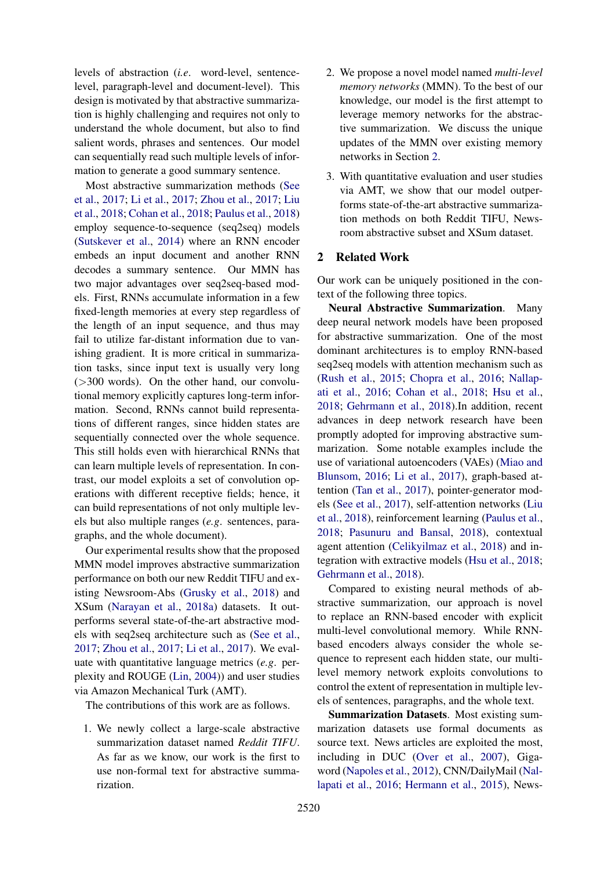levels of abstraction (*i.e*. word-level, sentencelevel, paragraph-level and document-level). This design is motivated by that abstractive summarization is highly challenging and requires not only to understand the whole document, but also to find salient words, phrases and sentences. Our model can sequentially read such multiple levels of information to generate a good summary sentence.

Most abstractive summarization methods (See et al., 2017; Li et al., 2017; Zhou et al., 2017; Liu et al., 2018; Cohan et al., 2018; Paulus et al., 2018) employ sequence-to-sequence (seq2seq) models (Sutskever et al., 2014) where an RNN encoder embeds an input document and another RNN decodes a summary sentence. Our MMN has two major advantages over seq2seq-based models. First, RNNs accumulate information in a few fixed-length memories at every step regardless of the length of an input sequence, and thus may fail to utilize far-distant information due to vanishing gradient. It is more critical in summarization tasks, since input text is usually very long  $($ >300 words). On the other hand, our convolutional memory explicitly captures long-term information. Second, RNNs cannot build representations of different ranges, since hidden states are sequentially connected over the whole sequence. This still holds even with hierarchical RNNs that can learn multiple levels of representation. In contrast, our model exploits a set of convolution operations with different receptive fields; hence, it can build representations of not only multiple levels but also multiple ranges (*e.g*. sentences, paragraphs, and the whole document).

Our experimental results show that the proposed MMN model improves abstractive summarization performance on both our new Reddit TIFU and existing Newsroom-Abs (Grusky et al., 2018) and XSum (Narayan et al., 2018a) datasets. It outperforms several state-of-the-art abstractive models with seq2seq architecture such as (See et al., 2017; Zhou et al., 2017; Li et al., 2017). We evaluate with quantitative language metrics (*e.g*. perplexity and ROUGE (Lin, 2004)) and user studies via Amazon Mechanical Turk (AMT).

The contributions of this work are as follows.

1. We newly collect a large-scale abstractive summarization dataset named *Reddit TIFU*. As far as we know, our work is the first to use non-formal text for abstractive summarization.

- 2. We propose a novel model named *multi-level memory networks* (MMN). To the best of our knowledge, our model is the first attempt to leverage memory networks for the abstractive summarization. We discuss the unique updates of the MMN over existing memory networks in Section 2.
- 3. With quantitative evaluation and user studies via AMT, we show that our model outperforms state-of-the-art abstractive summarization methods on both Reddit TIFU, Newsroom abstractive subset and XSum dataset.

## 2 Related Work

Our work can be uniquely positioned in the context of the following three topics.

Neural Abstractive Summarization. Many deep neural network models have been proposed for abstractive summarization. One of the most dominant architectures is to employ RNN-based seq2seq models with attention mechanism such as (Rush et al., 2015; Chopra et al., 2016; Nallapati et al., 2016; Cohan et al., 2018; Hsu et al., 2018; Gehrmann et al., 2018).In addition, recent advances in deep network research have been promptly adopted for improving abstractive summarization. Some notable examples include the use of variational autoencoders (VAEs) (Miao and Blunsom, 2016; Li et al., 2017), graph-based attention (Tan et al., 2017), pointer-generator models (See et al., 2017), self-attention networks (Liu et al., 2018), reinforcement learning (Paulus et al., 2018; Pasunuru and Bansal, 2018), contextual agent attention (Celikyilmaz et al., 2018) and integration with extractive models (Hsu et al., 2018; Gehrmann et al., 2018).

Compared to existing neural methods of abstractive summarization, our approach is novel to replace an RNN-based encoder with explicit multi-level convolutional memory. While RNNbased encoders always consider the whole sequence to represent each hidden state, our multilevel memory network exploits convolutions to control the extent of representation in multiple levels of sentences, paragraphs, and the whole text.

Summarization Datasets. Most existing summarization datasets use formal documents as source text. News articles are exploited the most, including in DUC (Over et al., 2007), Gigaword (Napoles et al., 2012), CNN/DailyMail (Nallapati et al., 2016; Hermann et al., 2015), News-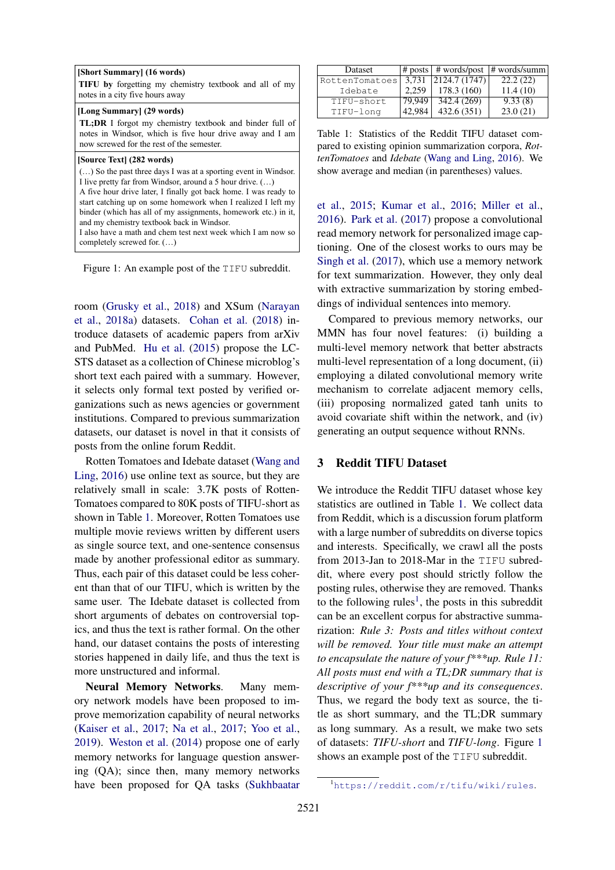| [Long Summary] (29 words)<br><b>TL;DR</b> I forgot my chemistry textbook and binder full of                                                                                                                                                                                                                                                                                                                                                                                   |
|-------------------------------------------------------------------------------------------------------------------------------------------------------------------------------------------------------------------------------------------------------------------------------------------------------------------------------------------------------------------------------------------------------------------------------------------------------------------------------|
| notes in Windsor, which is five hour drive away and I am<br>now screwed for the rest of the semester.                                                                                                                                                                                                                                                                                                                                                                         |
| [Source Text] (282 words)<br>() So the past three days I was at a sporting event in Windsor.<br>I live pretty far from Windsor, around a 5 hour drive. ()<br>A five hour drive later, I finally got back home. I was ready to<br>start catching up on some homework when I realized I left my<br>binder (which has all of my assignments, homework etc.) in it,<br>and my chemistry textbook back in Windsor.<br>I also have a math and chem test next week which I am now so |

Figure 1: An example post of the TIFU subreddit.

room (Grusky et al., 2018) and XSum (Narayan et al., 2018a) datasets. Cohan et al. (2018) introduce datasets of academic papers from arXiv and PubMed. Hu et al. (2015) propose the LC-STS dataset as a collection of Chinese microblog's short text each paired with a summary. However, it selects only formal text posted by verified organizations such as news agencies or government institutions. Compared to previous summarization datasets, our dataset is novel in that it consists of posts from the online forum Reddit.

Rotten Tomatoes and Idebate dataset (Wang and Ling, 2016) use online text as source, but they are relatively small in scale: 3.7K posts of Rotten-Tomatoes compared to 80K posts of TIFU-short as shown in Table 1. Moreover, Rotten Tomatoes use multiple movie reviews written by different users as single source text, and one-sentence consensus made by another professional editor as summary. Thus, each pair of this dataset could be less coherent than that of our TIFU, which is written by the same user. The Idebate dataset is collected from short arguments of debates on controversial topics, and thus the text is rather formal. On the other hand, our dataset contains the posts of interesting stories happened in daily life, and thus the text is more unstructured and informal.

Neural Memory Networks. Many memory network models have been proposed to improve memorization capability of neural networks (Kaiser et al., 2017; Na et al., 2017; Yoo et al., 2019). Weston et al. (2014) propose one of early memory networks for language question answering (QA); since then, many memory networks have been proposed for QA tasks (Sukhbaatar

| Dataset        |        |              | $\#$ posts $\#$ words/post $\#$ words/summ |
|----------------|--------|--------------|--------------------------------------------|
| RottenTomatoes | 3.731  | 2124.7(1747) | 22.2(22)                                   |
| Idebate        | 2.259  | 178.3(160)   | 11.4(10)                                   |
| TIFU-short     | 79,949 | 342.4(269)   | 9.33(8)                                    |
| TIFU-long      | 42,984 | 432.6(351)   | 23.0(21)                                   |

Table 1: Statistics of the Reddit TIFU dataset compared to existing opinion summarization corpora, *RottenTomatoes* and *Idebate* (Wang and Ling, 2016). We show average and median (in parentheses) values.

et al., 2015; Kumar et al., 2016; Miller et al., 2016). Park et al. (2017) propose a convolutional read memory network for personalized image captioning. One of the closest works to ours may be Singh et al. (2017), which use a memory network for text summarization. However, they only deal with extractive summarization by storing embeddings of individual sentences into memory.

Compared to previous memory networks, our MMN has four novel features: (i) building a multi-level memory network that better abstracts multi-level representation of a long document, (ii) employing a dilated convolutional memory write mechanism to correlate adjacent memory cells, (iii) proposing normalized gated tanh units to avoid covariate shift within the network, and (iv) generating an output sequence without RNNs.

### 3 Reddit TIFU Dataset

We introduce the Reddit TIFU dataset whose key statistics are outlined in Table 1. We collect data from Reddit, which is a discussion forum platform with a large number of subreddits on diverse topics and interests. Specifically, we crawl all the posts from 2013-Jan to 2018-Mar in the TIFU subreddit, where every post should strictly follow the posting rules, otherwise they are removed. Thanks to the following rules<sup>1</sup>, the posts in this subreddit can be an excellent corpus for abstractive summarization: *Rule 3: Posts and titles without context will be removed. Your title must make an attempt to encapsulate the nature of your f\*\*\*up. Rule 11: All posts must end with a TL;DR summary that is descriptive of your f\*\*\*up and its consequences*. Thus, we regard the body text as source, the title as short summary, and the TL;DR summary as long summary. As a result, we make two sets of datasets: *TIFU-short* and *TIFU-long*. Figure 1 shows an example post of the TIFU subreddit.

<sup>1</sup>https://reddit.com/r/tifu/wiki/rules.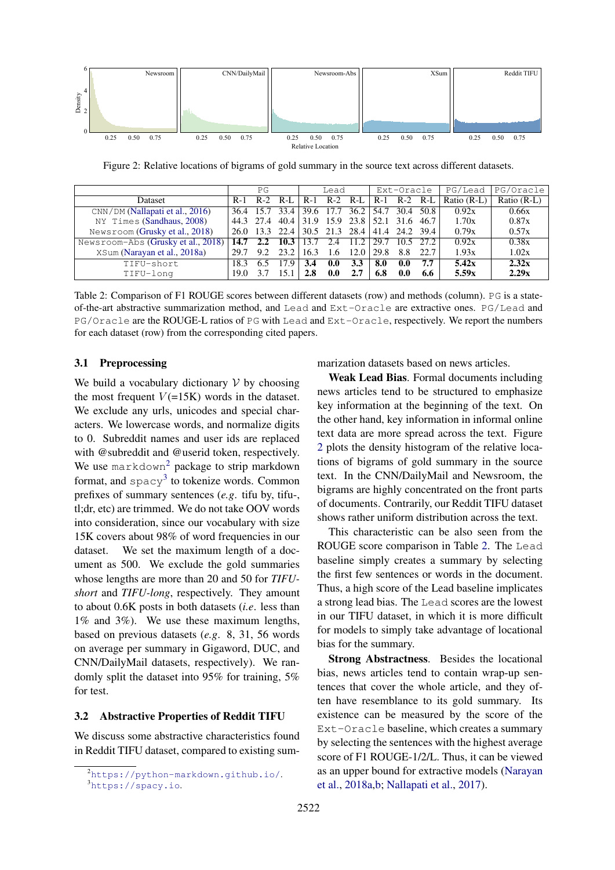

Figure 2: Relative locations of bigrams of gold summary in the source text across different datasets.

|                                                   | PG   |     | Lead |      | Ext-Oracle |                                                           | PG/Lead         | PG/Oracle |      |             |               |
|---------------------------------------------------|------|-----|------|------|------------|-----------------------------------------------------------|-----------------|-----------|------|-------------|---------------|
| <b>Dataset</b>                                    |      |     |      |      |            | R-1 R-2 R-L   R-1 R-2 R-L   R-1 R-2 R-L                   |                 |           |      | Ratio (R-L) | Ratio $(R-L)$ |
| $\text{CNN} / \text{DM}$ (Nallapati et al., 2016) |      |     |      |      |            | $\overline{36.4}$ 15.7 33.4 39.6 17.7 36.2 54.7 30.4 50.8 |                 |           |      | 0.92x       | 0.66x         |
| NY Times (Sandhaus, 2008)                         |      |     |      |      |            | 44.3 27.4 40.4 31.9 15.9 23.8 52.1 31.6 46.7              |                 |           |      | 1.70x       | 0.87x         |
| Newsroom (Grusky et al., 2018)                    |      |     |      |      |            | 26.0 13.3 22.4 30.5 21.3 28.4 41.4 24.2 39.4              |                 |           |      | 0.79x       | 0.57x         |
| Newsroom-Abs (Grusky et al., 2018)                | 14.7 | 2.2 | 10.3 | 13.7 | 2.4        | $11.2$   29.7                                             |                 | 10.5 27.2 |      | 0.92x       | 0.38x         |
| XSum (Narayan et al., 2018a)                      | 29.7 | 9.2 | 23.2 | 16.3 | 1.6        |                                                           | $12.0 \pm 29.8$ | 8.8       | 22.7 | 1.93x       | 1.02x         |
| TIFU-short                                        | 18.3 | 6.5 | 17.9 | 3.4  | 0.0        | 3.3                                                       | 8.0             | 0.0       | 7.7  | 5.42x       | 2.32x         |
| TIFU-long                                         | 19.0 | 37  | 15.1 |      | 0.0        | 2.7                                                       | 6.8             | 0.0       | 6.6  | 5.59x       | 2.29x         |

Table 2: Comparison of F1 ROUGE scores between different datasets (row) and methods (column). PG is a stateof-the-art abstractive summarization method, and Lead and Ext-Oracle are extractive ones. PG/Lead and PG/Oracle are the ROUGE-L ratios of PG with Lead and Ext-Oracle, respectively. We report the numbers for each dataset (row) from the corresponding cited papers.

### 3.1 Preprocessing

We build a vocabulary dictionary  $V$  by choosing the most frequent  $V(=15K)$  words in the dataset. We exclude any urls, unicodes and special characters. We lowercase words, and normalize digits to 0. Subreddit names and user ids are replaced with @subreddit and @userid token, respectively. We use markdown<sup>2</sup> package to strip markdown format, and  $\text{spacy}^3$  to tokenize words. Common prefixes of summary sentences (*e.g*. tifu by, tifu-, tl;dr, etc) are trimmed. We do not take OOV words into consideration, since our vocabulary with size 15K covers about 98% of word frequencies in our dataset. We set the maximum length of a document as 500. We exclude the gold summaries whose lengths are more than 20 and 50 for *TIFUshort* and *TIFU-long*, respectively. They amount to about 0.6K posts in both datasets (*i.e*. less than 1% and 3%). We use these maximum lengths, based on previous datasets (*e.g*. 8, 31, 56 words on average per summary in Gigaword, DUC, and CNN/DailyMail datasets, respectively). We randomly split the dataset into 95% for training, 5% for test.

### 3.2 Abstractive Properties of Reddit TIFU

We discuss some abstractive characteristics found in Reddit TIFU dataset, compared to existing summarization datasets based on news articles.

Weak Lead Bias. Formal documents including news articles tend to be structured to emphasize key information at the beginning of the text. On the other hand, key information in informal online text data are more spread across the text. Figure 2 plots the density histogram of the relative locations of bigrams of gold summary in the source text. In the CNN/DailyMail and Newsroom, the bigrams are highly concentrated on the front parts of documents. Contrarily, our Reddit TIFU dataset shows rather uniform distribution across the text.

This characteristic can be also seen from the ROUGE score comparison in Table 2. The Lead baseline simply creates a summary by selecting the first few sentences or words in the document. Thus, a high score of the Lead baseline implicates a strong lead bias. The Lead scores are the lowest in our TIFU dataset, in which it is more difficult for models to simply take advantage of locational bias for the summary.

Strong Abstractness. Besides the locational bias, news articles tend to contain wrap-up sentences that cover the whole article, and they often have resemblance to its gold summary. Its existence can be measured by the score of the Ext-Oracle baseline, which creates a summary by selecting the sentences with the highest average score of F1 ROUGE-1/2/L. Thus, it can be viewed as an upper bound for extractive models (Narayan et al., 2018a,b; Nallapati et al., 2017).

<sup>2</sup>https://python-markdown.github.io/. <sup>3</sup>https://spacy.io.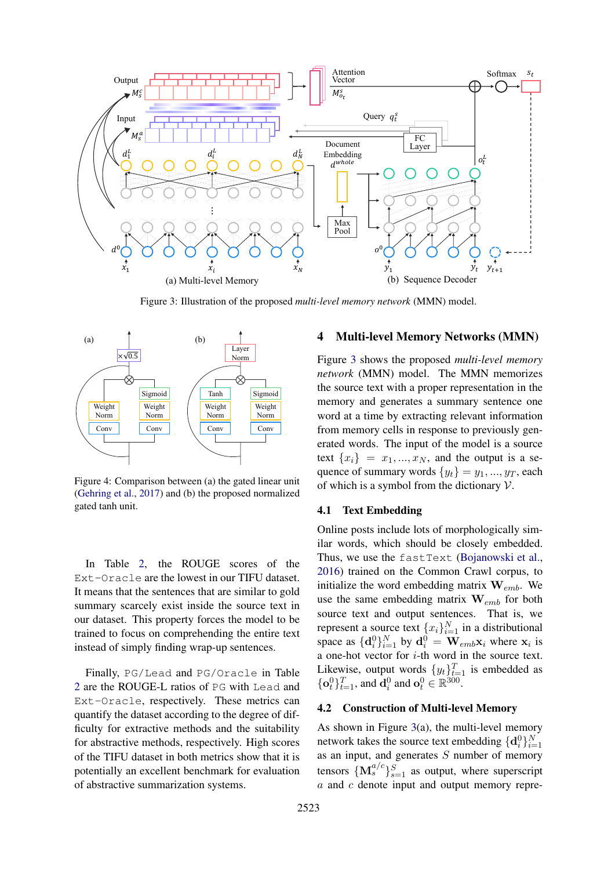

Figure 3: Illustration of the proposed *multi-level memory network* (MMN) model.



Figure 4: Comparison between (a) the gated linear unit (Gehring et al., 2017) and (b) the proposed normalized gated tanh unit.

In Table 2, the ROUGE scores of the Ext-Oracle are the lowest in our TIFU dataset. It means that the sentences that are similar to gold summary scarcely exist inside the source text in our dataset. This property forces the model to be trained to focus on comprehending the entire text instead of simply finding wrap-up sentences.

Finally, PG/Lead and PG/Oracle in Table 2 are the ROUGE-L ratios of PG with Lead and Ext-Oracle, respectively. These metrics can quantify the dataset according to the degree of difficulty for extractive methods and the suitability for abstractive methods, respectively. High scores of the TIFU dataset in both metrics show that it is potentially an excellent benchmark for evaluation of abstractive summarization systems.

## 4 Multi-level Memory Networks (MMN)

Figure 3 shows the proposed *multi-level memory network* (MMN) model. The MMN memorizes the source text with a proper representation in the memory and generates a summary sentence one word at a time by extracting relevant information from memory cells in response to previously generated words. The input of the model is a source text  $\{x_i\} = x_1, ..., x_N$ , and the output is a sequence of summary words  $\{y_t\} = y_1, ..., y_T$ , each of which is a symbol from the dictionary  $V$ .

#### 4.1 Text Embedding

Online posts include lots of morphologically similar words, which should be closely embedded. Thus, we use the fastText (Bojanowski et al., 2016) trained on the Common Crawl corpus, to initialize the word embedding matrix  $\mathbf{W}_{emb}$ . We use the same embedding matrix  $\mathbf{W}_{emb}$  for both source text and output sentences. That is, we represent a source text  $\{x_i\}_{i=1}^N$  in a distributional space as  $\{\mathbf d_i^0\}_{i=1}^N$  by  $\mathbf d_i^0 = \mathbf W_{emb} \mathbf x_i$  where  $\mathbf x_i$  is a one-hot vector for i-th word in the source text. Likewise, output words  $\{y_t\}_{t=1}^T$  is embedded as  $\{\mathbf{o}_t^0\}_{t=1}^T$ , and  $\mathbf{d}_i^0$  and  $\mathbf{o}_t^0 \in \mathbb{R}^{300}$ .

## 4.2 Construction of Multi-level Memory

As shown in Figure 3(a), the multi-level memory network takes the source text embedding  $\{\mathbf d_i^0\}_{i=1}^N$ as an input, and generates  $S$  number of memory tensors  $\{M_s^{a/c}\}_{s=1}^S$  as output, where superscript a and c denote input and output memory repre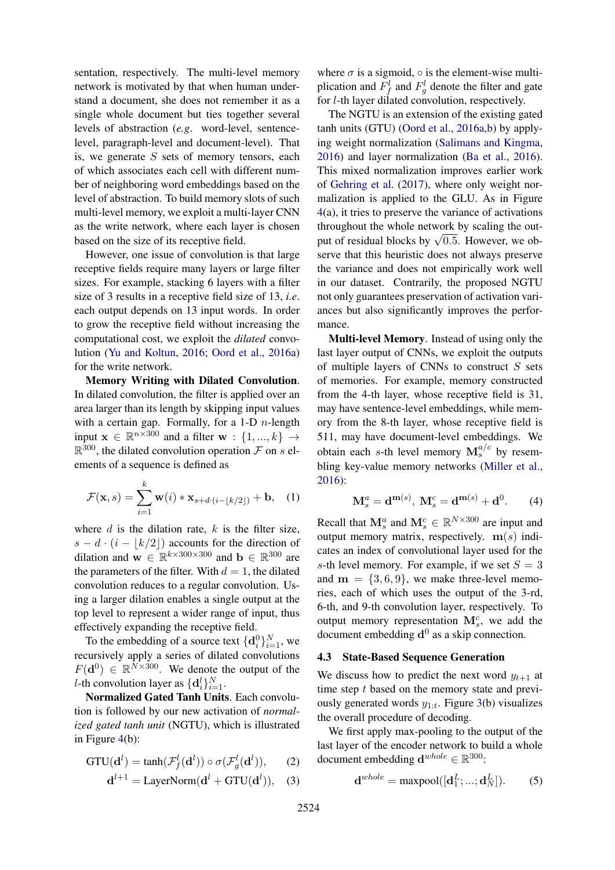sentation, respectively. The multi-level memory network is motivated by that when human understand a document, she does not remember it as a single whole document but ties together several levels of abstraction (*e.g*. word-level, sentencelevel, paragraph-level and document-level). That is, we generate  $S$  sets of memory tensors, each of which associates each cell with different number of neighboring word embeddings based on the level of abstraction. To build memory slots of such multi-level memory, we exploit a multi-layer CNN as the write network, where each layer is chosen based on the size of its receptive field.

However, one issue of convolution is that large receptive fields require many layers or large filter sizes. For example, stacking 6 layers with a filter size of 3 results in a receptive field size of 13, *i.e*. each output depends on 13 input words. In order to grow the receptive field without increasing the computational cost, we exploit the *dilated* convolution (Yu and Koltun, 2016; Oord et al., 2016a) for the write network.

Memory Writing with Dilated Convolution. In dilated convolution, the filter is applied over an area larger than its length by skipping input values with a certain gap. Formally, for a 1-D  $n$ -length input  $\mathbf{x} \in \mathbb{R}^{n \times 300}$  and a filter  $\mathbf{w}$  :  $\{1, ..., k\}$   $\rightarrow$  $\mathbb{R}^{300}$ , the dilated convolution operation  $\mathcal F$  on s elements of a sequence is defined as

$$
\mathcal{F}(\mathbf{x},s) = \sum_{i=1}^{k} \mathbf{w}(i) * \mathbf{x}_{s+d \cdot (i - \lfloor k/2 \rfloor)} + \mathbf{b}, \quad (1)
$$

where  $d$  is the dilation rate,  $k$  is the filter size,  $s - d \cdot (i - |k/2|)$  accounts for the direction of dilation and  $\mathbf{w} \in \mathbb{R}^{k \times 300 \times 300}$  and  $\mathbf{b} \in \mathbb{R}^{300}$  are the parameters of the filter. With  $d = 1$ , the dilated convolution reduces to a regular convolution. Using a larger dilation enables a single output at the top level to represent a wider range of input, thus effectively expanding the receptive field.

To the embedding of a source text  $\{\mathbf d_i^0\}_{i=1}^N$ , we recursively apply a series of dilated convolutions  $F(\mathbf{d}^0) \in \mathbb{R}^{N \times 300}$ . We denote the output of the *l*-th convolution layer as  $\{\mathbf{d}_i^l\}_{i=1}^N$ .

Normalized Gated Tanh Units. Each convolution is followed by our new activation of *normalized gated tanh unit* (NGTU), which is illustrated in Figure 4(b):

$$
GTU(\mathbf{d}^{l}) = \tanh(\mathcal{F}^{l}_{f}(\mathbf{d}^{l})) \circ \sigma(\mathcal{F}^{l}_{g}(\mathbf{d}^{l})), \qquad (2)
$$

$$
\mathbf{d}^{l+1} = \text{LayerNorm}(\mathbf{d}^l + \text{GTU}(\mathbf{d}^l)), \quad (3)
$$

where  $\sigma$  is a sigmoid,  $\circ$  is the element-wise multiplication and  $F_f^l$  and  $F_g^l$  denote the filter and gate for l-th layer dilated convolution, respectively.

The NGTU is an extension of the existing gated tanh units (GTU) (Oord et al., 2016a,b) by applying weight normalization (Salimans and Kingma, 2016) and layer normalization (Ba et al., 2016). This mixed normalization improves earlier work of Gehring et al. (2017), where only weight normalization is applied to the GLU. As in Figure 4(a), it tries to preserve the variance of activations throughout the whole network by scaling the outmroughout the whole hetwork by scaling the out-<br>put of residual blocks by  $\sqrt{0.5}$ . However, we observe that this heuristic does not always preserve the variance and does not empirically work well in our dataset. Contrarily, the proposed NGTU not only guarantees preservation of activation variances but also significantly improves the performance.

Multi-level Memory. Instead of using only the last layer output of CNNs, we exploit the outputs of multiple layers of CNNs to construct  $S$  sets of memories. For example, memory constructed from the 4-th layer, whose receptive field is 31, may have sentence-level embeddings, while memory from the 8-th layer, whose receptive field is 511, may have document-level embeddings. We obtain each s-th level memory  $\mathbf{M}_s^{a/c}$  by resembling key-value memory networks (Miller et al., 2016):

$$
\mathbf{M}_s^a = \mathbf{d}^{\mathbf{m}(s)}, \ \mathbf{M}_s^c = \mathbf{d}^{\mathbf{m}(s)} + \mathbf{d}^0. \tag{4}
$$

Recall that  $\mathbf{M}_s^a$  and  $\mathbf{M}_s^c \in \mathbb{R}^{N \times 300}$  are input and output memory matrix, respectively.  $m(s)$  indicates an index of convolutional layer used for the s-th level memory. For example, if we set  $S = 3$ and  $m = \{3, 6, 9\}$ , we make three-level memories, each of which uses the output of the 3-rd, 6-th, and 9-th convolution layer, respectively. To output memory representation  $\mathbf{M}_{s}^{c}$ , we add the document embedding  $\mathbf{d}^0$  as a skip connection.

#### 4.3 State-Based Sequence Generation

We discuss how to predict the next word  $y_{t+1}$  at time step  $t$  based on the memory state and previously generated words  $y_{1:t}$ . Figure 3(b) visualizes the overall procedure of decoding.

We first apply max-pooling to the output of the last layer of the encoder network to build a whole document embedding  $\mathbf{d}^{whole} \in \mathbb{R}^{300}$ :

$$
\mathbf{d}^{whole} = \text{maxpool}([\mathbf{d}_1^L; \dots; \mathbf{d}_N^L]).
$$
 (5)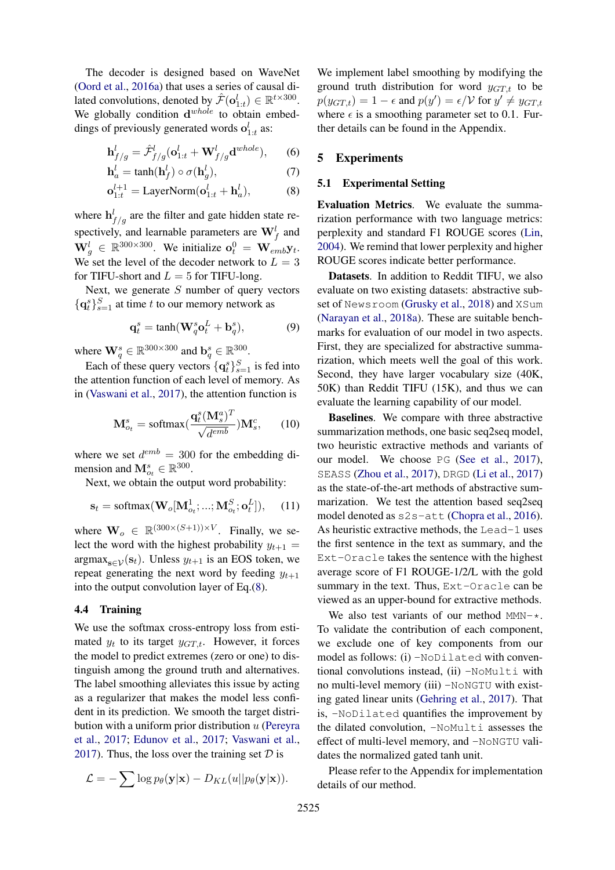The decoder is designed based on WaveNet (Oord et al., 2016a) that uses a series of causal dilated convolutions, denoted by  $\hat{\mathcal{F}}(\mathbf{o}_{1:t}^l) \in \mathbb{R}^{t \times 300}$ . We globally condition  $d^{whole}$  to obtain embeddings of previously generated words  $o_{1:t}^l$  as:

$$
\mathbf{h}_{f/g}^{l} = \hat{\mathcal{F}}_{f/g}^{l}(\mathbf{o}_{1:t}^{l} + \mathbf{W}_{f/g}^{l}\mathbf{d}^{whole}),
$$
 (6)

$$
\mathbf{h}_a^l = \tanh(\mathbf{h}_f^l) \circ \sigma(\mathbf{h}_g^l),\tag{7}
$$

$$
\mathbf{o}_{1:t}^{l+1} = \text{LayerNorm}(\mathbf{o}_{1:t}^l + \mathbf{h}_a^l),\tag{8}
$$

where  $h_{f/g}^{l}$  are the filter and gate hidden state respectively, and learnable parameters are  $\mathbf{W}_f^l$  and  $\mathbf{W}_g^l \in \mathbb{R}^{300 \times 300}$ . We initialize  $\mathbf{o}_t^0 = \mathbf{W}_{emb} \mathbf{y}_t$ . We set the level of the decoder network to  $L = 3$ for TIFU-short and  $L = 5$  for TIFU-long.

Next, we generate  $S$  number of query vectors  $\{q_t^s\}_{s=1}^S$  at time t to our memory network as

$$
\mathbf{q}_t^s = \tanh(\mathbf{W}_q^s \mathbf{o}_t^L + \mathbf{b}_q^s),\tag{9}
$$

where  $\mathbf{W}_q^s \in \mathbb{R}^{300 \times 300}$  and  $\mathbf{b}_q^s \in \mathbb{R}^{300}$ .

Each of these query vectors  $\{q_t^s\}_{s=1}^S$  is fed into the attention function of each level of memory. As in (Vaswani et al., 2017), the attention function is

$$
\mathbf{M}_{o_t}^s = \text{softmax}(\frac{\mathbf{q}_t^s(\mathbf{M}_s^a)^T}{\sqrt{d^{emb}}})\mathbf{M}_s^c, \qquad (10)
$$

where we set  $d^{emb} = 300$  for the embedding dimension and  $\mathbf{M}_{o_t}^s \in \mathbb{R}^{300}$ .

Next, we obtain the output word probability:

$$
\mathbf{s}_t = \text{softmax}(\mathbf{W}_o[\mathbf{M}_{o_t}^1; \dots; \mathbf{M}_{o_t}^S; \mathbf{o}_t^L]), \quad (11)
$$

where  $\mathbf{W}_o \in \mathbb{R}^{(300 \times (S+1)) \times V}$ . Finally, we select the word with the highest probability  $y_{t+1} =$  $argmax_{s \in \mathcal{V}}(s_t)$ . Unless  $y_{t+1}$  is an EOS token, we repeat generating the next word by feeding  $y_{t+1}$ into the output convolution layer of Eq.(8).

## 4.4 Training

We use the softmax cross-entropy loss from estimated  $y_t$  to its target  $y_{GT,t}$ . However, it forces the model to predict extremes (zero or one) to distinguish among the ground truth and alternatives. The label smoothing alleviates this issue by acting as a regularizer that makes the model less confident in its prediction. We smooth the target distribution with a uniform prior distribution  $u$  (Pereyra et al., 2017; Edunov et al., 2017; Vaswani et al., 2017). Thus, the loss over the training set  $D$  is

$$
\mathcal{L} = -\sum \log p_{\theta}(\mathbf{y}|\mathbf{x}) - D_{KL}(u||p_{\theta}(\mathbf{y}|\mathbf{x})).
$$

We implement label smoothing by modifying the ground truth distribution for word  $y_{GT,t}$  to be  $p(y_{GT,t}) = 1 - \epsilon$  and  $p(y') = \epsilon/\mathcal{V}$  for  $y' \neq y_{GT,t}$ where  $\epsilon$  is a smoothing parameter set to 0.1. Further details can be found in the Appendix.

## 5 Experiments

### 5.1 Experimental Setting

Evaluation Metrics. We evaluate the summarization performance with two language metrics: perplexity and standard F1 ROUGE scores (Lin, 2004). We remind that lower perplexity and higher ROUGE scores indicate better performance.

Datasets. In addition to Reddit TIFU, we also evaluate on two existing datasets: abstractive subset of Newsroom (Grusky et al., 2018) and XSum (Narayan et al., 2018a). These are suitable benchmarks for evaluation of our model in two aspects. First, they are specialized for abstractive summarization, which meets well the goal of this work. Second, they have larger vocabulary size (40K, 50K) than Reddit TIFU (15K), and thus we can evaluate the learning capability of our model.

Baselines. We compare with three abstractive summarization methods, one basic seq2seq model, two heuristic extractive methods and variants of our model. We choose PG (See et al., 2017), SEASS (Zhou et al., 2017), DRGD (Li et al., 2017) as the state-of-the-art methods of abstractive summarization. We test the attention based seq2seq model denoted as  $s2s-\text{att}$  (Chopra et al., 2016). As heuristic extractive methods, the Lead-1 uses the first sentence in the text as summary, and the Ext-Oracle takes the sentence with the highest average score of F1 ROUGE-1/2/L with the gold summary in the text. Thus, Ext-Oracle can be viewed as an upper-bound for extractive methods.

We also test variants of our method  $MMN-x$ . To validate the contribution of each component, we exclude one of key components from our model as follows: (i) -NoDilated with conventional convolutions instead, (ii) -NoMulti with no multi-level memory (iii) -NoNGTU with existing gated linear units (Gehring et al., 2017). That is, -NoDilated quantifies the improvement by the dilated convolution, -NoMulti assesses the effect of multi-level memory, and -NoNGTU validates the normalized gated tanh unit.

Please refer to the Appendix for implementation details of our method.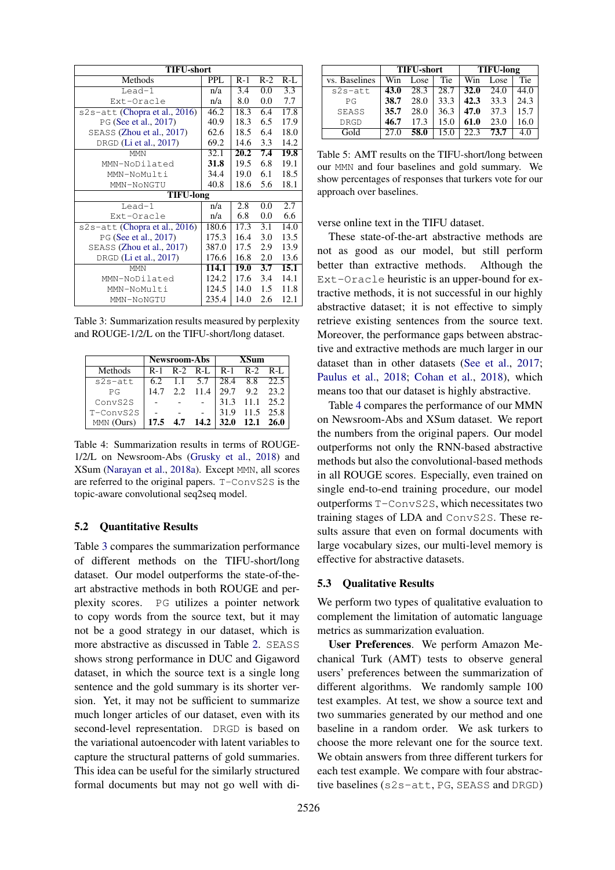| <b>TIFU-short</b>                |            |       |       |       |  |  |  |  |
|----------------------------------|------------|-------|-------|-------|--|--|--|--|
| Methods                          | <b>PPL</b> | $R-1$ | $R-2$ | $R-L$ |  |  |  |  |
| Lead- $1$                        | n/a        | 3.4   | 0.0   | 3.3   |  |  |  |  |
| Ext-Oracle                       | n/a        | 8.0   | 0.0   | 7.7   |  |  |  |  |
| $s2s$ -att (Chopra et al., 2016) | 46.2       | 18.3  | 6.4   | 17.8  |  |  |  |  |
| PG (See et al., 2017)            | 40.9       | 18.3  | 6.5   | 17.9  |  |  |  |  |
| SEASS (Zhou et al., 2017)        | 62.6       | 18.5  | 6.4   | 18.0  |  |  |  |  |
| DRGD (Li et al., 2017)           | 69.2       | 14.6  | 3.3   | 14.2  |  |  |  |  |
| <b>MMN</b>                       | 32.1       | 20.2  | 7.4   | 19.8  |  |  |  |  |
| MMN-NoDilated                    | 31.8       | 19.5  | 6.8   | 19.1  |  |  |  |  |
| MMN-NoMulti                      | 34.4       | 19.0  | 6.1   | 18.5  |  |  |  |  |
| MMN-NoNGTU                       | 40.8       | 18.6  | 5.6   | 18.1  |  |  |  |  |
| <b>TIFU-long</b>                 |            |       |       |       |  |  |  |  |
| $L$ ead- $1$                     | n/a        | 2.8   | 0.0   | 2.7   |  |  |  |  |
| Ext-Oracle                       | n/a        | 6.8   | 0.0   | 6.6   |  |  |  |  |
| s2s-att (Chopra et al., 2016)    | 180.6      | 17.3  | 3.1   | 14.0  |  |  |  |  |
| PG (See et al., 2017)            | 175.3      | 16.4  | 3.0   | 13.5  |  |  |  |  |
| SEASS (Zhou et al., 2017)        | 387.0      | 17.5  | 2.9   | 13.9  |  |  |  |  |
| DRGD (Li et al., 2017)           | 176.6      | 16.8  | 2.0   | 13.6  |  |  |  |  |
| <b>MMN</b>                       | 114.1      | 19.0  | 3.7   | 15.1  |  |  |  |  |
| MMN-NoDilated                    | 124.2      | 17.6  | 3.4   | 14.1  |  |  |  |  |
| MMN-NoMulti                      | 124.5      | 14.0  | 1.5   | 11.8  |  |  |  |  |
| MMN-NoNGTU                       | 235.4      | 14.0  | 2.6   | 12.1  |  |  |  |  |

Table 3: Summarization results measured by perplexity and ROUGE-1/2/L on the TIFU-short/long dataset.

|            | <b>Newsroom-Abs</b> |  |          | XSum                             |                |  |
|------------|---------------------|--|----------|----------------------------------|----------------|--|
| Methods    | $R-1$               |  |          | R-2 R-L   R-1 R-2 R-L            |                |  |
| $s2s-att$  |                     |  |          | 6.2 1.1 5.7   28.4 8.8 22.5      |                |  |
| PG         | 14.7                |  | 2.2 11.4 |                                  | 29.7 9.2 23.2  |  |
| ConvS2S    |                     |  |          |                                  | 31.3 11.1 25.2 |  |
| T-ConvS2SI |                     |  |          | 31.9                             | 11.5 25.8      |  |
| MMN (Ours) |                     |  |          | $17.5$ 4.7 $14.2$ 32.0 12.1 26.0 |                |  |

Table 4: Summarization results in terms of ROUGE-1/2/L on Newsroom-Abs (Grusky et al., 2018) and XSum (Narayan et al., 2018a). Except MMN, all scores are referred to the original papers. T-ConvS2S is the topic-aware convolutional seq2seq model.

### 5.2 Quantitative Results

Table 3 compares the summarization performance of different methods on the TIFU-short/long dataset. Our model outperforms the state-of-theart abstractive methods in both ROUGE and perplexity scores. PG utilizes a pointer network to copy words from the source text, but it may not be a good strategy in our dataset, which is more abstractive as discussed in Table 2. SEASS shows strong performance in DUC and Gigaword dataset, in which the source text is a single long sentence and the gold summary is its shorter version. Yet, it may not be sufficient to summarize much longer articles of our dataset, even with its second-level representation. DRGD is based on the variational autoencoder with latent variables to capture the structural patterns of gold summaries. This idea can be useful for the similarly structured formal documents but may not go well with di-

|               | <b>TIFU-short</b> |      |      | <b>TIFU-long</b> |      |      |
|---------------|-------------------|------|------|------------------|------|------|
| vs. Baselines | Win               | Lose | Tie  | Win              | Lose | Tie  |
| $s2s-att$     | 43.0              | 28.3 | 28.7 | <b>32.0</b>      | 24.0 | 44.0 |
| $P$ $G$       | 38.7              | 28.0 | 33.3 | 42.3             | 33.3 | 24.3 |
| SEASS         | 35.7              | 28.0 | 36.3 | 47.0             | 37.3 | 15.7 |
| <b>DRGD</b>   | 46.7              | 17.3 | 15.0 | 61.0             | 23.0 | 16.0 |
| Gold          | 27.0              | 58.0 | 15.0 | 22.3             | 73.7 | 4.0  |

Table 5: AMT results on the TIFU-short/long between our MMN and four baselines and gold summary. We show percentages of responses that turkers vote for our approach over baselines.

verse online text in the TIFU dataset.

These state-of-the-art abstractive methods are not as good as our model, but still perform better than extractive methods. Although the Ext-Oracle heuristic is an upper-bound for extractive methods, it is not successful in our highly abstractive dataset; it is not effective to simply retrieve existing sentences from the source text. Moreover, the performance gaps between abstractive and extractive methods are much larger in our dataset than in other datasets (See et al., 2017; Paulus et al., 2018; Cohan et al., 2018), which means too that our dataset is highly abstractive.

Table 4 compares the performance of our MMN on Newsroom-Abs and XSum dataset. We report the numbers from the original papers. Our model outperforms not only the RNN-based abstractive methods but also the convolutional-based methods in all ROUGE scores. Especially, even trained on single end-to-end training procedure, our model outperforms T-ConvS2S, which necessitates two training stages of LDA and ConvS2S. These results assure that even on formal documents with large vocabulary sizes, our multi-level memory is effective for abstractive datasets.

### 5.3 Qualitative Results

We perform two types of qualitative evaluation to complement the limitation of automatic language metrics as summarization evaluation.

User Preferences. We perform Amazon Mechanical Turk (AMT) tests to observe general users' preferences between the summarization of different algorithms. We randomly sample 100 test examples. At test, we show a source text and two summaries generated by our method and one baseline in a random order. We ask turkers to choose the more relevant one for the source text. We obtain answers from three different turkers for each test example. We compare with four abstractive baselines (s2s-att, PG, SEASS and DRGD)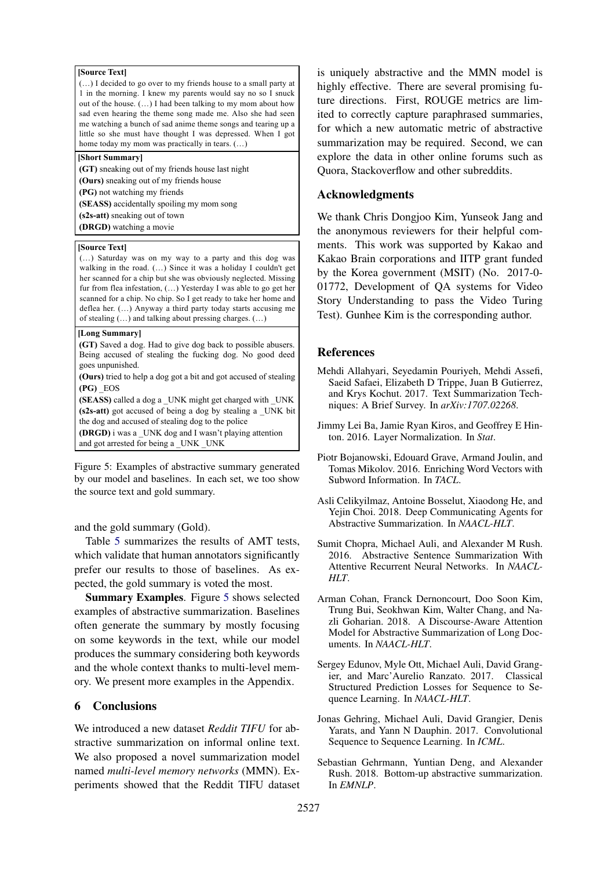#### **[Source Text]**

(…) I decided to go over to my friends house to a small party at 1 in the morning. I knew my parents would say no so I snuck out of the house. (…) I had been talking to my mom about how sad even hearing the theme song made me. Also she had seen me watching a bunch of sad anime theme songs and tearing up a little so she must have thought I was depressed. When I got home today my mom was practically in tears. (…)

### **[Short Summary]**

**(GT)** sneaking out of my friends house last night **(Ours)** sneaking out of my friends house **(s2s-att)** sneaking out of town **(PG)** not watching my friends **(SEASS)** accidentally spoiling my mom song **(DRGD)** watching a movie

#### **[Source Text]**

(…) Saturday was on my way to a party and this dog was walking in the road. (...) Since it was a holiday I couldn't get her scanned for a chip but she was obviously neglected. Missing fur from flea infestation, (…) Yesterday I was able to go get her scanned for a chip. No chip. So I get ready to take her home and deflea her. (…) Anyway a third party today starts accusing me of stealing (…) and talking about pressing charges. (…)

#### **[Long Summary]**

**(GT)** Saved a dog. Had to give dog back to possible abusers. Being accused of stealing the fucking dog. No good deed goes unpunished.

**(Ours)** tried to help a dog got a bit and got accused of stealing **(PG)** \_EOS

**(s2s-att)** got accused of being a dog by stealing a UNK bit the dog and accused of stealing dog to the police **(SEASS)** called a dog a \_UNK might get charged with \_UNK **(DRGD)** i was a \_UNK dog and I wasn't playing attention and got arrested for being a \_UNK \_UNK

Figure 5: Examples of abstractive summary generated by our model and baselines. In each set, we too show the source text and gold summary.

and the gold summary (Gold).

Table 5 summarizes the results of AMT tests, which validate that human annotators significantly prefer our results to those of baselines. As expected, the gold summary is voted the most.

Summary Examples. Figure 5 shows selected examples of abstractive summarization. Baselines often generate the summary by mostly focusing on some keywords in the text, while our model produces the summary considering both keywords and the whole context thanks to multi-level memory. We present more examples in the Appendix.

### 6 Conclusions

We introduced a new dataset *Reddit TIFU* for abstractive summarization on informal online text. We also proposed a novel summarization model named *multi-level memory networks* (MMN). Experiments showed that the Reddit TIFU dataset

is uniquely abstractive and the MMN model is highly effective. There are several promising future directions. First, ROUGE metrics are limited to correctly capture paraphrased summaries, for which a new automatic metric of abstractive summarization may be required. Second, we can explore the data in other online forums such as Quora, Stackoverflow and other subreddits.

### Acknowledgments

We thank Chris Dongjoo Kim, Yunseok Jang and the anonymous reviewers for their helpful comments. This work was supported by Kakao and Kakao Brain corporations and IITP grant funded by the Korea government (MSIT) (No. 2017-0- 01772, Development of QA systems for Video Story Understanding to pass the Video Turing Test). Gunhee Kim is the corresponding author.

### References

- Mehdi Allahyari, Seyedamin Pouriyeh, Mehdi Assefi, Saeid Safaei, Elizabeth D Trippe, Juan B Gutierrez, and Krys Kochut. 2017. Text Summarization Techniques: A Brief Survey. In *arXiv:1707.02268*.
- Jimmy Lei Ba, Jamie Ryan Kiros, and Geoffrey E Hinton. 2016. Layer Normalization. In *Stat*.
- Piotr Bojanowski, Edouard Grave, Armand Joulin, and Tomas Mikolov. 2016. Enriching Word Vectors with Subword Information. In *TACL*.
- Asli Celikyilmaz, Antoine Bosselut, Xiaodong He, and Yejin Choi. 2018. Deep Communicating Agents for Abstractive Summarization. In *NAACL-HLT*.
- Sumit Chopra, Michael Auli, and Alexander M Rush. 2016. Abstractive Sentence Summarization With Attentive Recurrent Neural Networks. In *NAACL-HLT*.
- Arman Cohan, Franck Dernoncourt, Doo Soon Kim, Trung Bui, Seokhwan Kim, Walter Chang, and Nazli Goharian. 2018. A Discourse-Aware Attention Model for Abstractive Summarization of Long Documents. In *NAACL-HLT*.
- Sergey Edunov, Myle Ott, Michael Auli, David Grangier, and Marc'Aurelio Ranzato. 2017. Classical Structured Prediction Losses for Sequence to Sequence Learning. In *NAACL-HLT*.
- Jonas Gehring, Michael Auli, David Grangier, Denis Yarats, and Yann N Dauphin. 2017. Convolutional Sequence to Sequence Learning. In *ICML*.
- Sebastian Gehrmann, Yuntian Deng, and Alexander Rush. 2018. Bottom-up abstractive summarization. In *EMNLP*.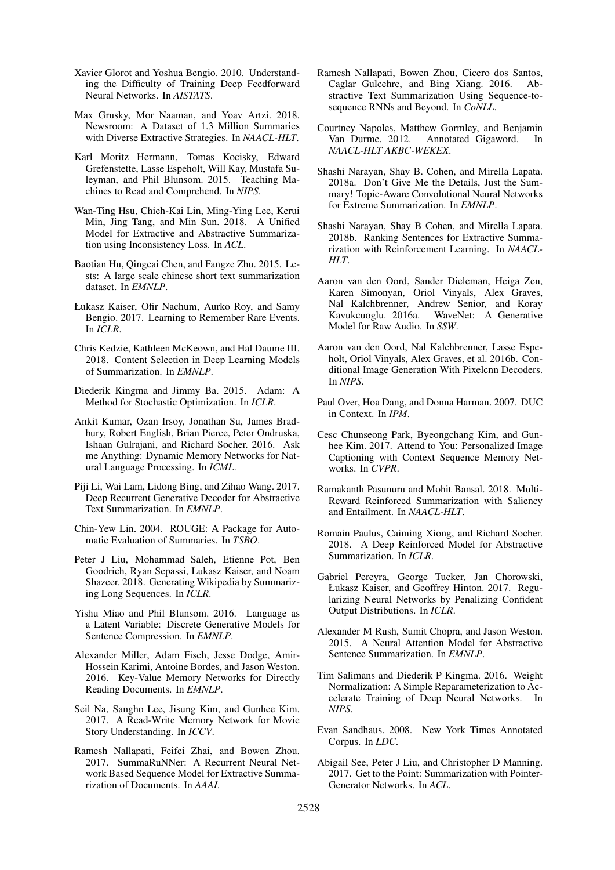- Xavier Glorot and Yoshua Bengio. 2010. Understanding the Difficulty of Training Deep Feedforward Neural Networks. In *AISTATS*.
- Max Grusky, Mor Naaman, and Yoav Artzi. 2018. Newsroom: A Dataset of 1.3 Million Summaries with Diverse Extractive Strategies. In *NAACL-HLT*.
- Karl Moritz Hermann, Tomas Kocisky, Edward Grefenstette, Lasse Espeholt, Will Kay, Mustafa Suleyman, and Phil Blunsom. 2015. Teaching Machines to Read and Comprehend. In *NIPS*.
- Wan-Ting Hsu, Chieh-Kai Lin, Ming-Ying Lee, Kerui Min, Jing Tang, and Min Sun. 2018. A Unified Model for Extractive and Abstractive Summarization using Inconsistency Loss. In *ACL*.
- Baotian Hu, Qingcai Chen, and Fangze Zhu. 2015. Lcsts: A large scale chinese short text summarization dataset. In *EMNLP*.
- Łukasz Kaiser, Ofir Nachum, Aurko Roy, and Samy Bengio. 2017. Learning to Remember Rare Events. In *ICLR*.
- Chris Kedzie, Kathleen McKeown, and Hal Daume III. 2018. Content Selection in Deep Learning Models of Summarization. In *EMNLP*.
- Diederik Kingma and Jimmy Ba. 2015. Adam: A Method for Stochastic Optimization. In *ICLR*.
- Ankit Kumar, Ozan Irsoy, Jonathan Su, James Bradbury, Robert English, Brian Pierce, Peter Ondruska, Ishaan Gulrajani, and Richard Socher. 2016. Ask me Anything: Dynamic Memory Networks for Natural Language Processing. In *ICML*.
- Piji Li, Wai Lam, Lidong Bing, and Zihao Wang. 2017. Deep Recurrent Generative Decoder for Abstractive Text Summarization. In *EMNLP*.
- Chin-Yew Lin. 2004. ROUGE: A Package for Automatic Evaluation of Summaries. In *TSBO*.
- Peter J Liu, Mohammad Saleh, Etienne Pot, Ben Goodrich, Ryan Sepassi, Lukasz Kaiser, and Noam Shazeer. 2018. Generating Wikipedia by Summarizing Long Sequences. In *ICLR*.
- Yishu Miao and Phil Blunsom. 2016. Language as a Latent Variable: Discrete Generative Models for Sentence Compression. In *EMNLP*.
- Alexander Miller, Adam Fisch, Jesse Dodge, Amir-Hossein Karimi, Antoine Bordes, and Jason Weston. 2016. Key-Value Memory Networks for Directly Reading Documents. In *EMNLP*.
- Seil Na, Sangho Lee, Jisung Kim, and Gunhee Kim. 2017. A Read-Write Memory Network for Movie Story Understanding. In *ICCV*.
- Ramesh Nallapati, Feifei Zhai, and Bowen Zhou. 2017. SummaRuNNer: A Recurrent Neural Network Based Sequence Model for Extractive Summarization of Documents. In *AAAI*.
- Ramesh Nallapati, Bowen Zhou, Cicero dos Santos, Caglar Gulcehre, and Bing Xiang. 2016. Abstractive Text Summarization Using Sequence-tosequence RNNs and Beyond. In *CoNLL*.
- Courtney Napoles, Matthew Gormley, and Benjamin Van Durme. 2012. Annotated Gigaword. In *NAACL-HLT AKBC-WEKEX*.
- Shashi Narayan, Shay B. Cohen, and Mirella Lapata. 2018a. Don't Give Me the Details, Just the Summary! Topic-Aware Convolutional Neural Networks for Extreme Summarization. In *EMNLP*.
- Shashi Narayan, Shay B Cohen, and Mirella Lapata. 2018b. Ranking Sentences for Extractive Summarization with Reinforcement Learning. In *NAACL-HLT*.
- Aaron van den Oord, Sander Dieleman, Heiga Zen, Karen Simonyan, Oriol Vinyals, Alex Graves, Nal Kalchbrenner, Andrew Senior, and Koray Kavukcuoglu. 2016a. WaveNet: A Generative Model for Raw Audio. In *SSW*.
- Aaron van den Oord, Nal Kalchbrenner, Lasse Espeholt, Oriol Vinyals, Alex Graves, et al. 2016b. Conditional Image Generation With Pixelcnn Decoders. In *NIPS*.
- Paul Over, Hoa Dang, and Donna Harman. 2007. DUC in Context. In *IPM*.
- Cesc Chunseong Park, Byeongchang Kim, and Gunhee Kim. 2017. Attend to You: Personalized Image Captioning with Context Sequence Memory Networks. In *CVPR*.
- Ramakanth Pasunuru and Mohit Bansal. 2018. Multi-Reward Reinforced Summarization with Saliency and Entailment. In *NAACL-HLT*.
- Romain Paulus, Caiming Xiong, and Richard Socher. 2018. A Deep Reinforced Model for Abstractive Summarization. In *ICLR*.
- Gabriel Pereyra, George Tucker, Jan Chorowski, Łukasz Kaiser, and Geoffrey Hinton. 2017. Regularizing Neural Networks by Penalizing Confident Output Distributions. In *ICLR*.
- Alexander M Rush, Sumit Chopra, and Jason Weston. 2015. A Neural Attention Model for Abstractive Sentence Summarization. In *EMNLP*.
- Tim Salimans and Diederik P Kingma. 2016. Weight Normalization: A Simple Reparameterization to Accelerate Training of Deep Neural Networks. In *NIPS*.
- Evan Sandhaus. 2008. New York Times Annotated Corpus. In *LDC*.
- Abigail See, Peter J Liu, and Christopher D Manning. 2017. Get to the Point: Summarization with Pointer-Generator Networks. In *ACL*.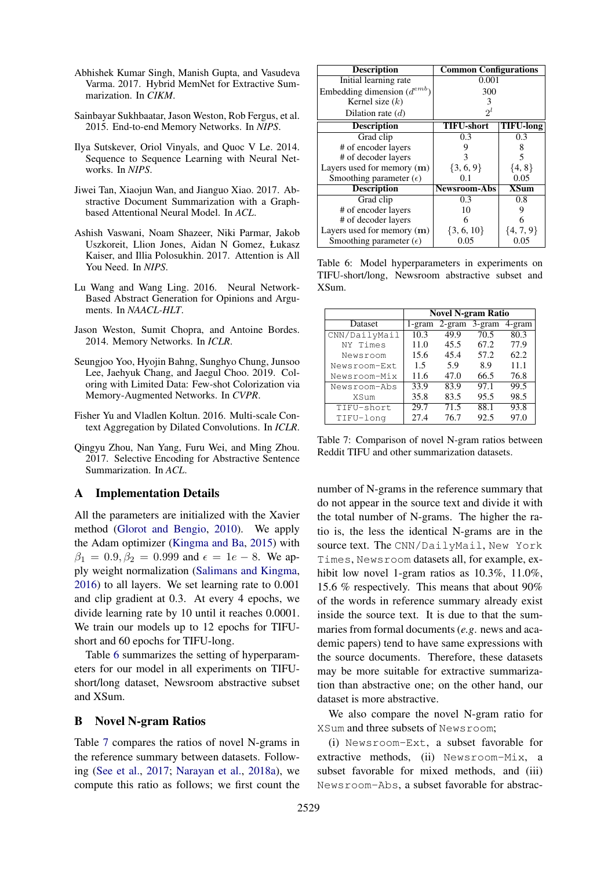- Abhishek Kumar Singh, Manish Gupta, and Vasudeva Varma. 2017. Hybrid MemNet for Extractive Summarization. In *CIKM*.
- Sainbayar Sukhbaatar, Jason Weston, Rob Fergus, et al. 2015. End-to-end Memory Networks. In *NIPS*.
- Ilya Sutskever, Oriol Vinyals, and Quoc V Le. 2014. Sequence to Sequence Learning with Neural Networks. In *NIPS*.
- Jiwei Tan, Xiaojun Wan, and Jianguo Xiao. 2017. Abstractive Document Summarization with a Graphbased Attentional Neural Model. In *ACL*.
- Ashish Vaswani, Noam Shazeer, Niki Parmar, Jakob Uszkoreit, Llion Jones, Aidan N Gomez, Łukasz Kaiser, and Illia Polosukhin. 2017. Attention is All You Need. In *NIPS*.
- Lu Wang and Wang Ling. 2016. Neural Network-Based Abstract Generation for Opinions and Arguments. In *NAACL-HLT*.
- Jason Weston, Sumit Chopra, and Antoine Bordes. 2014. Memory Networks. In *ICLR*.
- Seungjoo Yoo, Hyojin Bahng, Sunghyo Chung, Junsoo Lee, Jaehyuk Chang, and Jaegul Choo. 2019. Coloring with Limited Data: Few-shot Colorization via Memory-Augmented Networks. In *CVPR*.
- Fisher Yu and Vladlen Koltun. 2016. Multi-scale Context Aggregation by Dilated Convolutions. In *ICLR*.
- Qingyu Zhou, Nan Yang, Furu Wei, and Ming Zhou. 2017. Selective Encoding for Abstractive Sentence Summarization. In *ACL*.

## A Implementation Details

All the parameters are initialized with the Xavier method (Glorot and Bengio, 2010). We apply the Adam optimizer (Kingma and Ba, 2015) with  $\beta_1 = 0.9, \beta_2 = 0.999$  and  $\epsilon = 1e - 8$ . We apply weight normalization (Salimans and Kingma, 2016) to all layers. We set learning rate to 0.001 and clip gradient at 0.3. At every 4 epochs, we divide learning rate by 10 until it reaches 0.0001. We train our models up to 12 epochs for TIFUshort and 60 epochs for TIFU-long.

Table 6 summarizes the setting of hyperparameters for our model in all experiments on TIFUshort/long dataset, Newsroom abstractive subset and XSum.

#### B Novel N-gram Ratios

Table 7 compares the ratios of novel N-grams in the reference summary between datasets. Following (See et al., 2017; Narayan et al., 2018a), we compute this ratio as follows; we first count the

| <b>Description</b>               | <b>Common Configurations</b> |                  |  |  |  |
|----------------------------------|------------------------------|------------------|--|--|--|
| Initial learning rate            | 0.001                        |                  |  |  |  |
| Embedding dimension $(d^{emb})$  | 300                          |                  |  |  |  |
| Kernel size $(k)$                | 3                            |                  |  |  |  |
| Dilation rate $(d)$              | $2^l$                        |                  |  |  |  |
| <b>Description</b>               | <b>TIFU-short</b>            | <b>TIFU-long</b> |  |  |  |
| Grad clip                        | 0.3                          | 0.3              |  |  |  |
| # of encoder layers              |                              | 8                |  |  |  |
| # of decoder layers              | 3                            | 5                |  |  |  |
| Layers used for memory $(m)$     | $\{3, 6, 9\}$                | $\{4, 8\}$       |  |  |  |
| Smoothing parameter $(\epsilon)$ | 0.1                          | 0.05             |  |  |  |
| <b>Description</b>               | <b>Newsroom-Abs</b>          | <b>XSum</b>      |  |  |  |
| Grad clip                        | 0.3                          | 0.8              |  |  |  |
| # of encoder layers              | 10                           |                  |  |  |  |
| # of decoder layers              | 6                            |                  |  |  |  |
| Layers used for memory $(m)$     | $\{3, 6, 10\}$               | $\{4, 7, 9\}$    |  |  |  |
| Smoothing parameter $(\epsilon)$ | 0.05                         | U.U5             |  |  |  |

Table 6: Model hyperparameters in experiments on TIFU-short/long, Newsroom abstractive subset and XSum.

|               | <b>Novel N-gram Ratio</b> |      |                 |        |  |  |  |
|---------------|---------------------------|------|-----------------|--------|--|--|--|
| Dataset       | 1-gram                    |      | $2-gram$ 3-gram | 4-gram |  |  |  |
| CNN/DailyMail | 10.3                      | 49.9 | 70.5            | 80.3   |  |  |  |
| NY Times      | 11.0                      | 45.5 | 67.2            | 77.9   |  |  |  |
| Newsroom      | 15.6                      | 45.4 | 57.2            | 62.2   |  |  |  |
| Newsroom-Ext  | 1.5                       | 5.9  | 8.9             | 11.1   |  |  |  |
| Newsroom-Mix  | 11.6                      | 47.0 | 66.5            | 76.8   |  |  |  |
| Newsroom-Abs  | 33.9                      | 83.9 | 97.1            | 99.5   |  |  |  |
| <b>XSum</b>   | 35.8                      | 83.5 | 95.5            | 98.5   |  |  |  |
| TIFU-short    | 29.7                      | 71.5 | 88.1            | 93.8   |  |  |  |
| TIFU-long     | 27.4                      | 76.7 | 92.5            | 97.0   |  |  |  |

Table 7: Comparison of novel N-gram ratios between Reddit TIFU and other summarization datasets.

number of N-grams in the reference summary that do not appear in the source text and divide it with the total number of N-grams. The higher the ratio is, the less the identical N-grams are in the source text. The CNN/DailyMail, New York Times, Newsroom datasets all, for example, exhibit low novel 1-gram ratios as  $10.3\%$ ,  $11.0\%$ , 15.6 % respectively. This means that about 90% of the words in reference summary already exist inside the source text. It is due to that the summaries from formal documents (*e.g*. news and academic papers) tend to have same expressions with the source documents. Therefore, these datasets may be more suitable for extractive summarization than abstractive one; on the other hand, our dataset is more abstractive.

We also compare the novel N-gram ratio for XSum and three subsets of Newsroom;

(i) Newsroom-Ext, a subset favorable for extractive methods, (ii) Newsroom-Mix, a subset favorable for mixed methods, and (iii) Newsroom-Abs, a subset favorable for abstrac-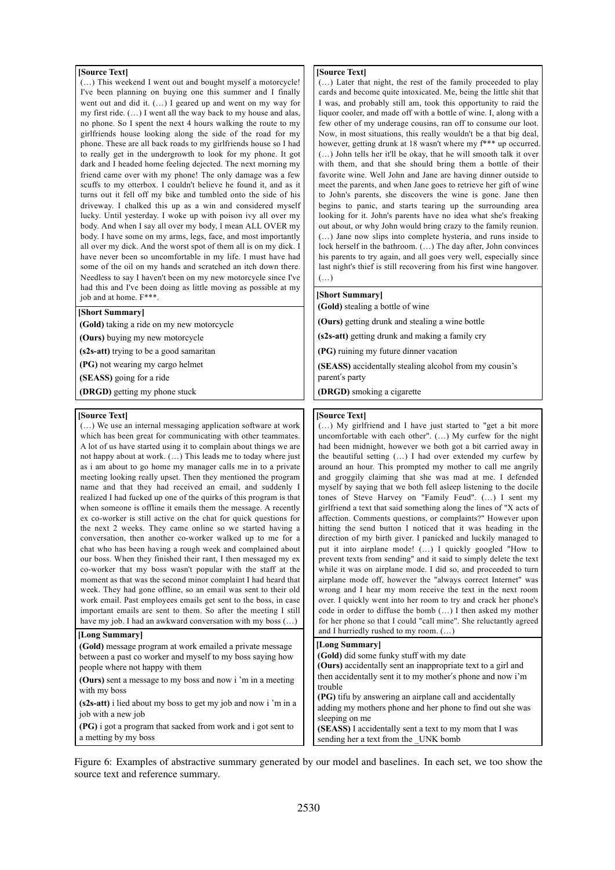#### **[Source Text]**

(…) This weekend I went out and bought myself a motorcycle! I've been planning on buying one this summer and I finally went out and did it. (…) I geared up and went on my way for my first ride. (…) I went all the way back to my house and alas, no phone. So I spent the next 4 hours walking the route to my girlfriends house looking along the side of the road for my phone. These are all back roads to my girlfriends house so I had to really get in the undergrowth to look for my phone. It got dark and I headed home feeling dejected. The next morning my friend came over with my phone! The only damage was a few scuffs to my otterbox. I couldn't believe he found it, and as it turns out it fell off my bike and tumbled onto the side of his driveway. I chalked this up as a win and considered myself lucky. Until yesterday. I woke up with poison ivy all over my body. And when I say all over my body, I mean ALL OVER my body. I have some on my arms, legs, face, and most importantly all over my dick. And the worst spot of them all is on my dick. I have never been so uncomfortable in my life. I must have had some of the oil on my hands and scratched an itch down there. Needless to say I haven't been on my new motorcycle since I've had this and I've been doing as little moving as possible at my job and at home. F\*\*\*.

#### **[Short Summary]**

**(Gold)** taking a ride on my new motorcycle

**(Ours)** buying my new motorcycle

**(s2s-att)** trying to be a good samaritan

**(PG)** not wearing my cargo helmet

**(SEASS)** going for a ride

**(DRGD)** getting my phone stuck

#### **[Source Text]**

(…) We use an internal messaging application software at work which has been great for communicating with other teammates. A lot of us have started using it to complain about things we are not happy about at work. (…) This leads me to today where just as i am about to go home my manager calls me in to a private meeting looking really upset. Then they mentioned the program name and that they had received an email, and suddenly I realized I had fucked up one of the quirks of this program is that when someone is offline it emails them the message. A recently ex co-worker is still active on the chat for quick questions for the next 2 weeks. They came online so we started having a conversation, then another co-worker walked up to me for a chat who has been having a rough week and complained about our boss. When they finished their rant, I then messaged my ex co-worker that my boss wasn't popular with the staff at the moment as that was the second minor complaint I had heard that week. They had gone offline, so an email was sent to their old work email. Past employees emails get sent to the boss, in case important emails are sent to them. So after the meeting I still have my job. I had an awkward conversation with my boss (…)

#### **[Long Summary]**

**(Gold)** message program at work emailed a private message between a past co worker and myself to my boss saying how people where not happy with them

**(Ours)** sent a message to my boss and now i 'm in a meeting with my boss

**(s2s-att)** i lied about my boss to get my job and now i 'm in a job with a new job

**(PG)** i got a program that sacked from work and i got sent to a metting by my boss

#### **[Source Text]**

(…) Later that night, the rest of the family proceeded to play cards and become quite intoxicated. Me, being the little shit that I was, and probably still am, took this opportunity to raid the liquor cooler, and made off with a bottle of wine. I, along with a few other of my underage cousins, ran off to consume our loot. Now, in most situations, this really wouldn't be a that big deal, however, getting drunk at 18 wasn't where my f\*\*\* up occurred. (…) John tells her it'll be okay, that he will smooth talk it over with them, and that she should bring them a bottle of their favorite wine. Well John and Jane are having dinner outside to meet the parents, and when Jane goes to retrieve her gift of wine to John's parents, she discovers the wine is gone. Jane then begins to panic, and starts tearing up the surrounding area looking for it. John's parents have no idea what she's freaking out about, or why John would bring crazy to the family reunion. (…) Jane now slips into complete hysteria, and runs inside to lock herself in the bathroom. (…) The day after, John convinces his parents to try again, and all goes very well, especially since last night's thief is still recovering from his first wine hangover. (…)

### **[Short Summary]**

**(Gold)** stealing a bottle of wine

**(Ours)** getting drunk and stealing a wine bottle

**(s2s-att)** getting drunk and making a family cry

**(PG)** ruining my future dinner vacation

**(SEASS)** accidentally stealing alcohol from my cousin's parent's party

**(DRGD)** smoking a cigarette

#### **[Source Text]**

(…) My girlfriend and I have just started to "get a bit more uncomfortable with each other". (…) My curfew for the night had been midnight, however we both got a bit carried away in the beautiful setting (…) I had over extended my curfew by around an hour. This prompted my mother to call me angrily and groggily claiming that she was mad at me. I defended myself by saying that we both fell asleep listening to the docile tones of Steve Harvey on "Family Feud". (…) I sent my girlfriend a text that said something along the lines of "X acts of affection. Comments questions, or complaints?" However upon hitting the send button I noticed that it was heading in the direction of my birth giver. I panicked and luckily managed to put it into airplane mode! (…) I quickly googled "How to prevent texts from sending" and it said to simply delete the text while it was on airplane mode. I did so, and proceeded to turn airplane mode off, however the "always correct Internet" was wrong and I hear my mom receive the text in the next room over. I quickly went into her room to try and crack her phone's code in order to diffuse the bomb (…) I then asked my mother for her phone so that I could "call mine". She reluctantly agreed and I hurriedly rushed to my room. (…)

#### **(Gold)** did some funky stuff with my date **[Long Summary]**

| <b>(Ours)</b> accidentally sent an inappropriate text to a girl and |  |
|---------------------------------------------------------------------|--|
| then accidentally sent it to my mother's phone and now i'm          |  |
| trouble                                                             |  |
| (PG) tifu by answering an airplane call and accidentally            |  |
| adding my mothers phone and her phone to find out she was           |  |
| sleeping on me                                                      |  |
| (SEASS) I accidentally sent a text to my mom that I was             |  |
| sending her a text from the UNK bomb                                |  |

Figure 6: Examples of abstractive summary generated by our model and baselines. In each set, we too show the source text and reference summary.